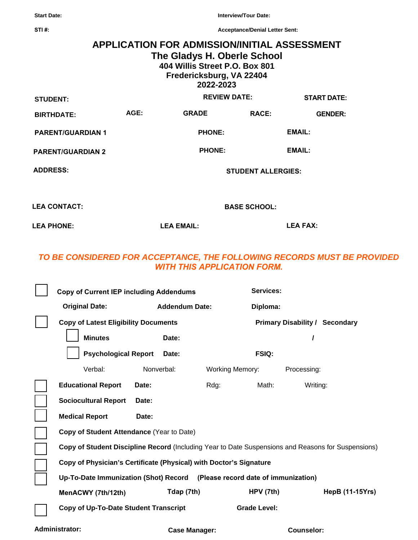**Start Date:** 

**STI #:**

**Interview/Tour Date:** 

**Acceptance/Denial Letter Sent:** 

## **APPLICATION FOR ADMISSION/INITIAL ASSESSMENT The Gladys H. Oberle School 404 Willis Street P.O. Box 801 Fredericksburg, VA 22404 2022-2023 AGE: PHONE: PHONE: START DATE: STUDENT: BIRTHDATE: EMAIL: EMAIL: GRADE RACE: GENDER: REVIEW DATE: PARENT/GUARDIAN 1 PARENT/GUARDIAN 2 ADDRESS: STUDENT ALLERGIES: LEA CONTACT: BASE SCHOOL:**

**LEA PHONE: LEA EMAIL: LEA FAX:**

## *TO BE CONSIDERED FOR ACCEPTANCE, THE FOLLOWING RECORDS MUST BE PROVIDED WITH THIS APPLICATION FORM.*

| <b>Copy of Current IEP including Addendums</b>                                                     |                       |                        | Services:                             |                 |  |
|----------------------------------------------------------------------------------------------------|-----------------------|------------------------|---------------------------------------|-----------------|--|
| <b>Original Date:</b>                                                                              | <b>Addendum Date:</b> |                        | Diploma:                              |                 |  |
| <b>Copy of Latest Eligibility Documents</b>                                                        |                       |                        | <b>Primary Disability / Secondary</b> |                 |  |
| <b>Minutes</b>                                                                                     | Date:                 |                        |                                       |                 |  |
| <b>Psychological Report</b>                                                                        | Date:                 |                        | <b>FSIQ:</b>                          |                 |  |
| Verbal:                                                                                            | Nonverbal:            | <b>Working Memory:</b> |                                       | Processing:     |  |
| <b>Educational Report</b>                                                                          | Date:                 | Rdg:                   | Math:                                 | Writing:        |  |
| <b>Sociocultural Report</b>                                                                        | Date:                 |                        |                                       |                 |  |
| <b>Medical Report</b>                                                                              | Date:                 |                        |                                       |                 |  |
| Copy of Student Attendance (Year to Date)                                                          |                       |                        |                                       |                 |  |
| Copy of Student Discipline Record (Including Year to Date Suspensions and Reasons for Suspensions) |                       |                        |                                       |                 |  |
| Copy of Physician's Certificate (Physical) with Doctor's Signature                                 |                       |                        |                                       |                 |  |
| Up-To-Date Immunization (Shot) Record (Please record date of immunization)                         |                       |                        |                                       |                 |  |
| MenACWY (7th/12th)                                                                                 | Tdap (7th)            |                        | HPV(7th)                              | HepB (11-15Yrs) |  |
| Copy of Up-To-Date Student Transcript                                                              |                       |                        | <b>Grade Level:</b>                   |                 |  |
|                                                                                                    |                       |                        |                                       |                 |  |

Administrator: **Case Manager: Case Manager: Counselor: Counselor: C**